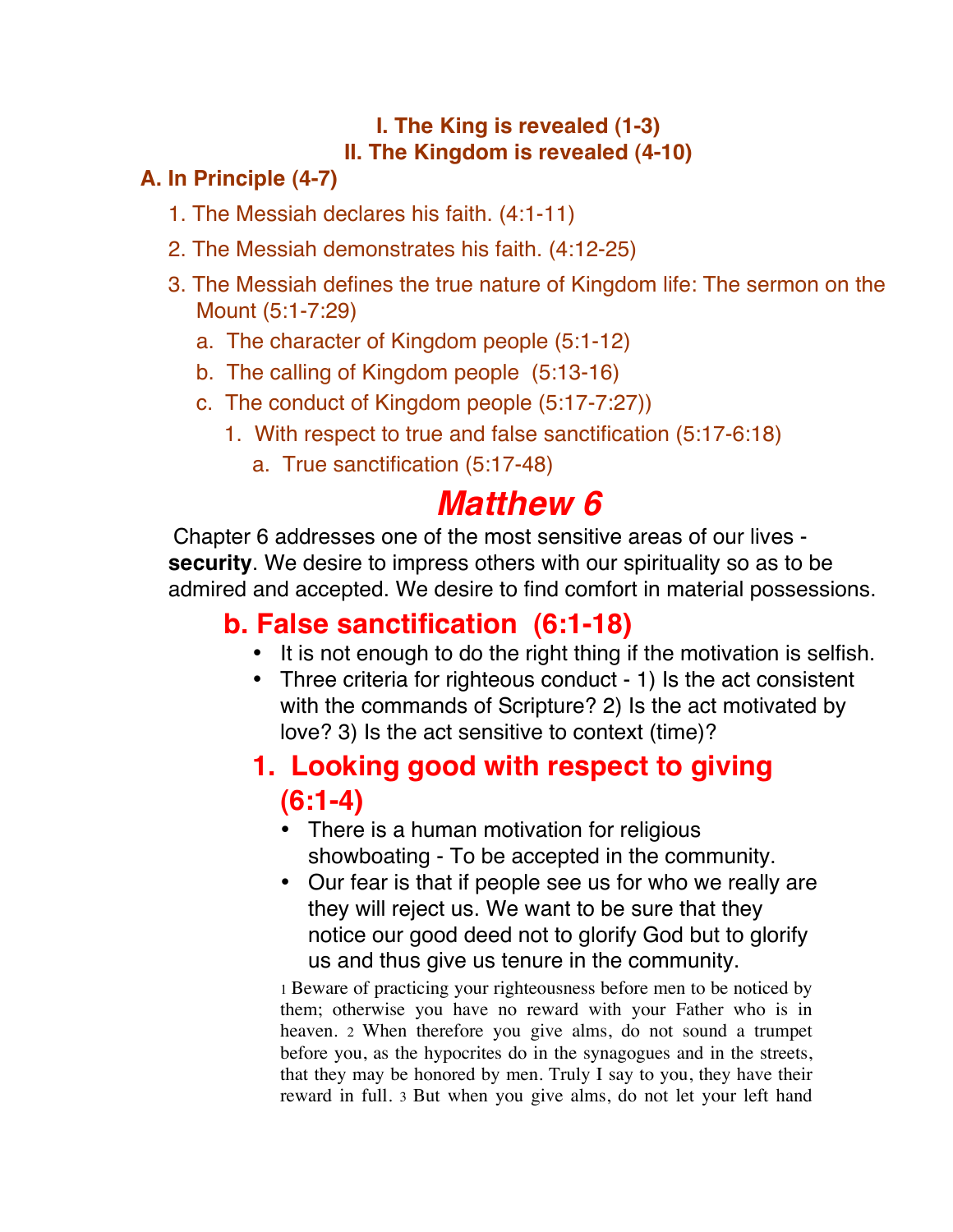#### **I. The King is revealed (1-3) II. The Kingdom is revealed (4-10)**

#### **A. In Principle (4-7)**

- 1. The Messiah declares his faith. (4:1-11)
- 2. The Messiah demonstrates his faith. (4:12-25)
- 3. The Messiah defines the true nature of Kingdom life: The sermon on the Mount (5:1-7:29)
	- a. The character of Kingdom people (5:1-12)
	- b. The calling of Kingdom people (5:13-16)
	- c. The conduct of Kingdom people (5:17-7:27))
		- 1. With respect to true and false sanctification (5:17-6:18)
			- a. True sanctification (5:17-48)

# *Matthew 6*

Chapter 6 addresses one of the most sensitive areas of our lives **security**. We desire to impress others with our spirituality so as to be admired and accepted. We desire to find comfort in material possessions.

# **b. False sanctification (6:1-18)**

- It is not enough to do the right thing if the motivation is selfish.
- Three criteria for righteous conduct 1) Is the act consistent with the commands of Scripture? 2) Is the act motivated by love? 3) Is the act sensitive to context (time)?

# **1. Looking good with respect to giving (6:1-4)**

- There is a human motivation for religious showboating - To be accepted in the community.
- Our fear is that if people see us for who we really are they will reject us. We want to be sure that they notice our good deed not to glorify God but to glorify us and thus give us tenure in the community.

1 Beware of practicing your righteousness before men to be noticed by them; otherwise you have no reward with your Father who is in heaven. 2 When therefore you give alms, do not sound a trumpet before you, as the hypocrites do in the synagogues and in the streets, that they may be honored by men. Truly I say to you, they have their reward in full. 3 But when you give alms, do not let your left hand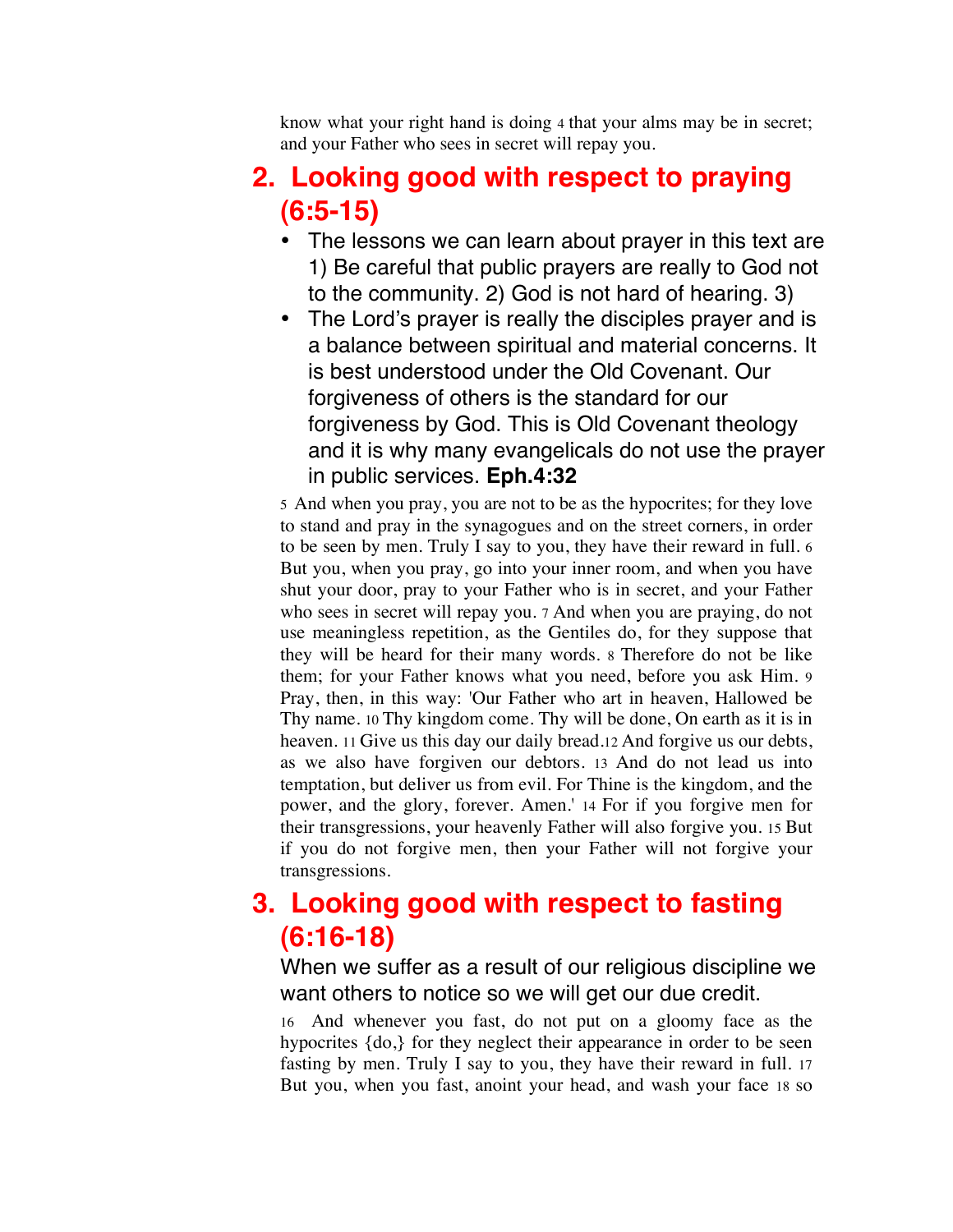know what your right hand is doing 4 that your alms may be in secret; and your Father who sees in secret will repay you.

# **2. Looking good with respect to praying (6:5-15)**

- The lessons we can learn about prayer in this text are 1) Be careful that public prayers are really to God not to the community. 2) God is not hard of hearing. 3)
- The Lord's prayer is really the disciples prayer and is a balance between spiritual and material concerns. It is best understood under the Old Covenant. Our forgiveness of others is the standard for our forgiveness by God. This is Old Covenant theology and it is why many evangelicals do not use the prayer in public services. **Eph.4:32**

5 And when you pray, you are not to be as the hypocrites; for they love to stand and pray in the synagogues and on the street corners, in order to be seen by men. Truly I say to you, they have their reward in full. 6 But you, when you pray, go into your inner room, and when you have shut your door, pray to your Father who is in secret, and your Father who sees in secret will repay you. 7 And when you are praying, do not use meaningless repetition, as the Gentiles do, for they suppose that they will be heard for their many words. 8 Therefore do not be like them; for your Father knows what you need, before you ask Him. 9 Pray, then, in this way: 'Our Father who art in heaven, Hallowed be Thy name. 10 Thy kingdom come. Thy will be done, On earth as it is in heaven. 11 Give us this day our daily bread.12 And forgive us our debts, as we also have forgiven our debtors. 13 And do not lead us into temptation, but deliver us from evil. For Thine is the kingdom, and the power, and the glory, forever. Amen.' 14 For if you forgive men for their transgressions, your heavenly Father will also forgive you. 15 But if you do not forgive men, then your Father will not forgive your transgressions.

#### **3. Looking good with respect to fasting (6:16-18)**

When we suffer as a result of our religious discipline we want others to notice so we will get our due credit.

16 And whenever you fast, do not put on a gloomy face as the hypocrites  ${do}$ , for they neglect their appearance in order to be seen fasting by men. Truly I say to you, they have their reward in full. 17 But you, when you fast, anoint your head, and wash your face 18 so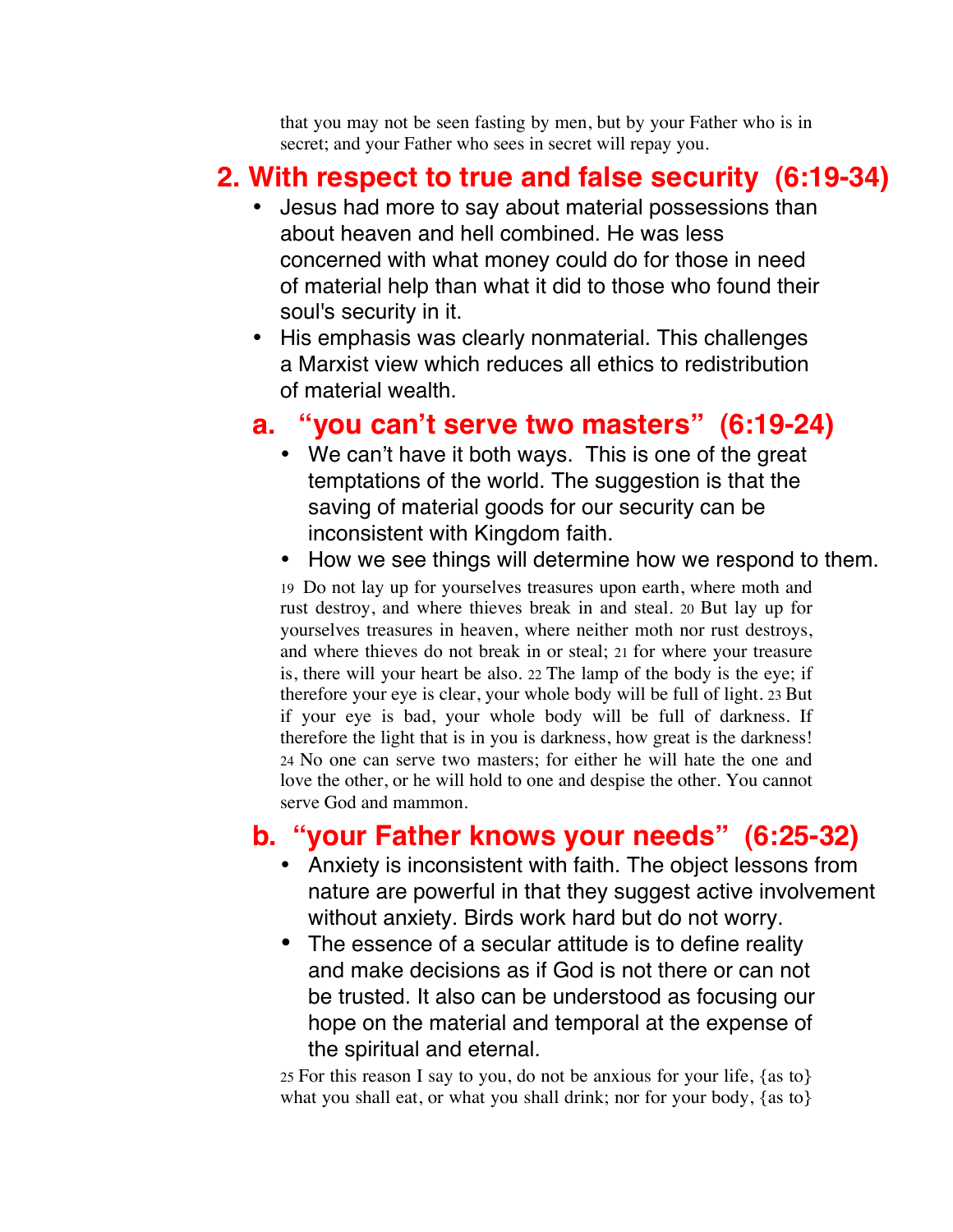that you may not be seen fasting by men, but by your Father who is in secret; and your Father who sees in secret will repay you.

#### **2. With respect to true and false security (6:19-34)**

- Jesus had more to say about material possessions than about heaven and hell combined. He was less concerned with what money could do for those in need of material help than what it did to those who found their soul's security in it.
- His emphasis was clearly nonmaterial. This challenges a Marxist view which reduces all ethics to redistribution of material wealth.

#### **a. "you can't serve two masters" (6:19-24)**

- We can't have it both ways. This is one of the great temptations of the world. The suggestion is that the saving of material goods for our security can be inconsistent with Kingdom faith.
- How we see things will determine how we respond to them.

19 Do not lay up for yourselves treasures upon earth, where moth and rust destroy, and where thieves break in and steal. 20 But lay up for yourselves treasures in heaven, where neither moth nor rust destroys, and where thieves do not break in or steal; 21 for where your treasure is, there will your heart be also. 22 The lamp of the body is the eye; if therefore your eye is clear, your whole body will be full of light. 23 But if your eye is bad, your whole body will be full of darkness. If therefore the light that is in you is darkness, how great is the darkness! 24 No one can serve two masters; for either he will hate the one and love the other, or he will hold to one and despise the other. You cannot serve God and mammon.

# **b. "your Father knows your needs" (6:25-32)**

- Anxiety is inconsistent with faith. The object lessons from nature are powerful in that they suggest active involvement without anxiety. Birds work hard but do not worry.
- The essence of a secular attitude is to define reality and make decisions as if God is not there or can not be trusted. It also can be understood as focusing our hope on the material and temporal at the expense of the spiritual and eternal.

25 For this reason I say to you, do not be anxious for your life, {as to} what you shall eat, or what you shall drink; nor for your body, {as to}